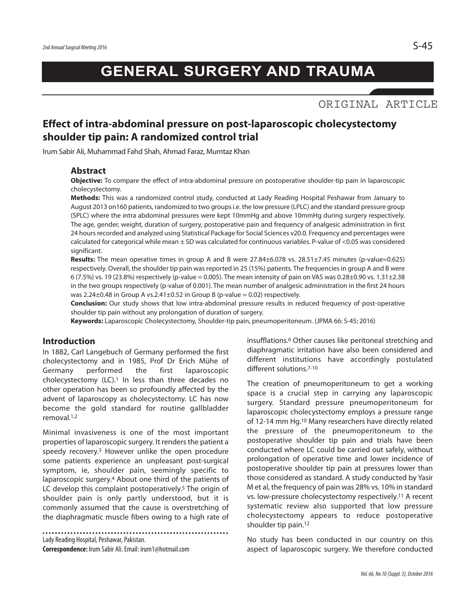# ORIGINAL ARTICLE

# **Effect of intra-abdominal pressure on post-laparoscopic cholecystectomy shoulder tip pain: A randomized control trial**

Irum Sabir Ali, Muhammad Fahd Shah, Ahmad Faraz, Mumtaz Khan

## **Abstract**

**Objective:** To compare the effect of intra-abdominal pressure on postoperative shoulder-tip pain in laparoscopic cholecystectomy.

**Methods:** This was a randomized control study, conducted at Lady Reading Hospital Peshawar from January to August 2013 on160 patients, randomized to two groupsi.e. the low pressure (LPLC) and the standard pressure group (SPLC) where the intra abdominal pressures were kept 10mmHg and above 10mmHg during surgery respectively. The age, gender, weight, duration of surgery, postoperative pain and frequency of analgesic administration in first 24 hours recorded and analyzed using Statistical Package for Social Sciences v20.0. Frequency and percentages were calculated for categorical while mean  $\pm$  SD was calculated for continuous variables. P-value of <0.05 was considered significant.

**Results:** The mean operative times in group A and B were 27.84±6.078 vs. 28.51±7.45 minutes (p-value=0.625) respectively. Overall, the shoulder tip pain was reported in 25 (15%) patients. The frequencies in group A and B were 6 (7.5%) vs. 19 (23.8%) respectively (p-value = 0.005). The mean intensity of pain on VAS was 0.28±0.90 vs. 1.31±2.38 in the two groups respectively (p-value of 0.001). The mean number of analgesic administration in the first 24 hours was 2.24 $\pm$ 0.48 in Group A vs.2.41 $\pm$ 0.52 in Group B (p-value = 0.02) respectively.

**Conclusion:** Our study shows that low intra-abdominal pressure results in reduced frequency of post-operative shoulder tip pain without any prolongation of duration of surgery.

**Keywords:** Laparoscopic Cholecystectomy, Shoulder-tip pain, pneumoperitoneum. (JPMA 66: S-45; 2016)

#### **Introduction**

In 1882, Carl Langebuch of Germany performed the first cholecystectomy and in 1985, Prof Dr Erich Mühe of Germany performed the first laparoscopic cholecystectomy (LC). <sup>1</sup> In less than three decades no other operation has been so profoundly affected by the advent of laparoscopy as cholecystectomy. LC has now become the gold standard for routine gallbladder removal. 1,2

Minimal invasiveness is one of the most important properties of laparoscopic surgery. It renders the patient a speedy recovery. <sup>3</sup> However unlike the open procedure some patients experience an unpleasant post-surgical symptom, ie, shoulder pain, seemingly specific to laparoscopic surgery. <sup>4</sup> About one third of the patients of LC develop this complaint postoperatively. <sup>5</sup> The origin of shoulder pain is only partly understood, but it is commonly assumed that the cause is overstretching of the diaphragmatic muscle fibers owing to a high rate of

Lady Reading Hospital, Peshawar, Pakistan. **Correspondence:** Irum Sabir Ali.Email: irum1@hotmail.com

insufflations. <sup>6</sup> Other causes like peritoneal stretching and diaphragmatic irritation have also been considered and different institutions have accordingly postulated different solutions. 7-10

The creation of pneumoperitoneum to get a working space is a crucial step in carrying any laparoscopic surgery. Standard pressure pneumoperitoneum for laparoscopic cholecystectomy employs a pressure range of 12-14 mm Hg. <sup>10</sup> Many researchers have directly related the pressure of the pneumoperitoneum to the postoperative shoulder tip pain and trials have been conducted where LC could be carried out safely, without prolongation of operative time and lower incidence of postoperative shoulder tip pain at pressures lower than those considered as standard. A study conducted by Yasir M et al, the frequency of pain was 28% vs. 10% in standard vs. low-pressure cholecystectomy respectively. <sup>11</sup> A recent systematic review also supported that low pressure cholecystectomy appears to reduce postoperative shoulder tip pain. 12

No study has been conducted in our country on this aspect of laparoscopic surgery. We therefore conducted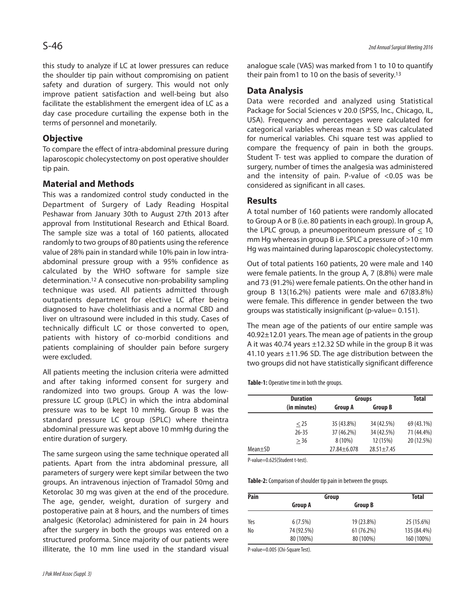this study to analyze if LC at lower pressures can reduce the shoulder tip pain without compromising on patient safety and duration of surgery. This would not only improve patient satisfaction and well-being but also facilitate the establishment the emergent idea of LC as a day case procedure curtailing the expense both in the terms of personnel and monetarily.

## **Objective**

To compare the effect of intra-abdominal pressure during laparoscopic cholecystectomy on post operative shoulder tip pain.

## **Material and Methods**

This was a randomized control study conducted in the Department of Surgery of Lady Reading Hospital Peshawar from January 30th to August 27th 2013 after approval from Institutional Research and Ethical Board. The sample size was a total of 160 patients, allocated randomly to two groups of 80 patients using the reference value of 28% pain in standard while 10% pain in low intraabdominal pressure group with a 95% confidence as calculated by the WHO software for sample size determination. <sup>12</sup> A consecutive non-probability sampling technique was used. All patients admitted through outpatients department for elective LC after being diagnosed to have cholelithiasis and a normal CBD and liver on ultrasound were included in this study. Cases of technically difficult LC or those converted to open, patients with history of co-morbid conditions and patients complaining of shoulder pain before surgery were excluded.

All patients meeting the inclusion criteria were admitted and after taking informed consent for surgery and randomized into two groups. Group A was the lowpressure LC group (LPLC) in which the intra abdominal pressure was to be kept 10 mmHg. Group B was the standard pressure LC group (SPLC) where theintra abdominal pressure was kept above 10 mmHg during the entire duration of surgery.

The same surgeon using the same technique operated all patients. Apart from the intra abdominal pressure, all parameters of surgery were kept similar between the two groups. An intravenous injection of Tramadol 50mg and Ketorolac 30 mg was given at the end of the procedure. The age, gender, weight, duration of surgery and postoperative pain at 8 hours, and the numbers of times analgesic (Ketorolac) administered for pain in 24 hours after the surgery in both the groups was entered on a structured proforma. Since majority of our patients were illiterate, the 10 mm line used in the standard visual analogue scale (VAS) was marked from 1 to 10 to quantify their pain from1 to 10 on the basis of severity. 13

## **Data Analysis**

Data were recorded and analyzed using Statistical Package for Social Sciences v 20.0 (SPSS, Inc., Chicago, IL, USA). Frequency and percentages were calculated for categorical variables whereas mean  $\pm$  SD was calculated for numerical variables. Chi square test was applied to compare the frequency of pain in both the groups. Student T- test was applied to compare the duration of surgery, number of times the analgesia was administered and the intensity of pain. P-value of <0.05 was be considered as significant in all cases.

## **Results**

A total number of 160 patients were randomly allocated to Group A or B (i.e. 80 patients in each group). In group A, the LPLC group, a pneumoperitoneum pressure of < 10 mm Hg whereas in group B i.e. SPLC a pressure of >10 mm Hg was maintained during laparoscopic cholecystectomy.

Out of total patients 160 patients, 20 were male and 140 were female patients. In the group A, 7 (8.8%) were male and 73 (91.2%) were female patients. On the other hand in group B 13(16.2%) patients were male and 67(83.8%) were female. This difference in gender between the two groups was statistically insignificant (p-value= 0.151).

The mean age of the patients of our entire sample was 40.92±12.01 years. The mean age of patients in the group A it was 40.74 years ±12.32 SD while in the group B it was 41.10 years ±11.96 SD. The age distribution between the two groups did not have statistically significant difference

**Table-1:** Operative time in both the groups.

|               | <b>Duration</b> | <b>Groups</b>   |                | Total      |
|---------------|-----------------|-----------------|----------------|------------|
|               | (in minutes)    | <b>Group A</b>  | <b>Group B</b> |            |
|               | $<$ 25          | 35 (43.8%)      | 34 (42.5%)     | 69 (43.1%) |
|               | $26 - 35$       | 37 (46.2%)      | 34 (42.5%)     | 71 (44.4%) |
|               | > 36            | $8(10\%)$       | 12 (15%)       | 20 (12.5%) |
| $Mean \pm SD$ |                 | $27.84 + 6.078$ | $28.51 + 7.45$ |            |

P-value=0.625(Student t-test).

Table-2: Comparison of shoulder tip pain in between the groups.

| Pain | Group          | <b>Total</b>   |             |
|------|----------------|----------------|-------------|
|      | <b>Group A</b> | <b>Group B</b> |             |
| Yes  | $6(7.5\%)$     | 19 (23.8%)     | 25 (15.6%)  |
| No   | 74 (92.5%)     | 61 (76.2%)     | 135 (84.4%) |
|      | 80 (100%)      | 80 (100%)      | 160 (100%)  |

P-value=0.005 (Chi-Square Test).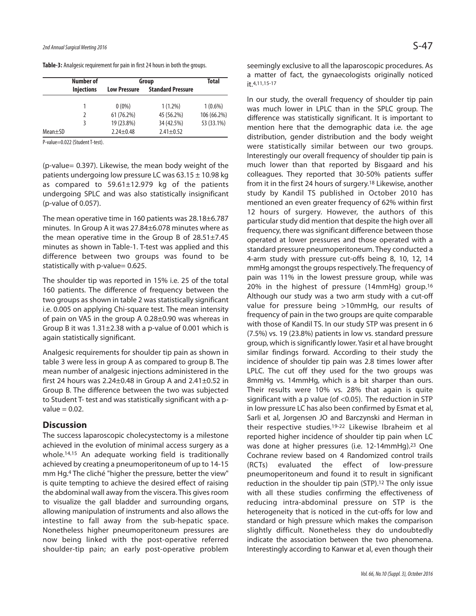|               | <b>Number of</b>  | Group               |                          | <b>Total</b> |
|---------------|-------------------|---------------------|--------------------------|--------------|
|               | <b>Injections</b> | <b>Low Pressure</b> | <b>Standard Pressure</b> |              |
|               |                   |                     |                          |              |
|               |                   | $0(0\%)$            | $1(1.2\%)$               | $1(0.6\%)$   |
|               | 2                 | 61 (76.2%)          | 45 (56.2%)               | 106 (66.2%)  |
|               | 3                 | 19 (23.8%)          | 34 (42.5%)               | 53 (33.1%)   |
| $Mean \pm SD$ |                   | $2.24 \pm 0.48$     | $2.41 \pm 0.52$          |              |

Table-3: Analgesic requirement for pain in first 24 hours in both the groups.

P-value=0.022 (Student T-test).

(p-value= 0.397). Likewise, the mean body weight of the patients undergoing low pressure LC was  $63.15 \pm 10.98$  kg as compared to  $59.61 \pm 12.979$  kg of the patients undergoing SPLC and was also statistically insignificant (p-value of 0.057).

The mean operative time in 160 patients was 28.18±6.787 minutes. In Group A it was 27.84±6.078 minutes where as the mean operative time in the Group B of 28.51±7.45 minutes as shown in Table-1. T-test was applied and this difference between two groups was found to be statistically with p-value= 0.625.

The shoulder tip was reported in 15% i.e. 25 of the total 160 patients. The difference of frequency between the two groups as shown in table 2 was statistically significant i.e. 0.005 on applying Chi-square test. The mean intensity of pain on VAS in the group A 0.28±0.90 was whereas in Group B it was  $1.31 \pm 2.38$  with a p-value of 0.001 which is again statistically significant.

Analgesic requirements for shoulder tip pain as shown in table 3 were less in group A as compared to group B. The mean number of analgesic injections administered in the first 24 hours was  $2.24 \pm 0.48$  in Group A and  $2.41 \pm 0.52$  in Group B. The difference between the two was subjected to Student T- test and was statistically significant with a pvalue  $= 0.02$ .

### **Discussion**

The success laparoscopic cholecystectomy is a milestone achieved in the evolution of minimal access surgery as a whole. 14,15 An adequate working field is traditionally achieved by creating a pneumoperitoneum of up to 14-15 mm Hg. <sup>4</sup> The cliché "higher the pressure, better the view" is quite tempting to achieve the desired effect of raising the abdominal wall away from the viscera. This gives room to visualize the gall bladder and surrounding organs, allowing manipulation of instruments and also allows the intestine to fall away from the sub-hepatic space. Nonetheless higher pneumoperitoneum pressures are now being linked with the post-operative referred shoulder-tip pain; an early post-operative problem

seemingly exclusive to all the laparoscopic procedures. As a matter of fact, the gynaecologists originally noticed it. 4,11,15-17

In our study, the overall frequency of shoulder tip pain was much lower in LPLC than in the SPLC group. The difference was statistically significant. It is important to mention here that the demographic data i.e. the age distribution, gender distribution and the body weight were statistically similar between our two groups. Interestingly our overall frequency of shoulder tip pain is much lower than that reported by Bisgaard and his colleagues. They reported that 30-50% patients suffer from it in the first 24 hours of surgery. <sup>18</sup> Likewise, another study by Kandil TS published in October 2010 has mentioned an even greater frequency of 62% within first 12 hours of surgery. However, the authors of this particular study did mention that despite the high over all frequency, there was significant difference between those operated at lower pressures and those operated with a standard pressure pneumoperitoneum. They conducted a 4-arm study with pressure cut-offs being 8, 10, 12, 14 mmHg amongst the groups respectively. The frequency of pain was 11% in the lowest pressure group, while was 20% in the highest of pressure (14mmHg) group. 16 Although our study was a two arm study with a cut-off value for pressure being >10mmHg, our results of frequency of pain in the two groups are quite comparable with those of Kandil TS. In our study STP was present in 6 (7.5%) vs. 19 (23.8%) patients in low vs. standard pressure group, which is significantly lower. Yasir et al have brought similar findings forward. According to their study the incidence of shoulder tip pain was 2.8 times lower after LPLC. The cut off they used for the two groups was 8mmHg vs. 14mmHg, which is a bit sharper than ours. Their results were 10% vs. 28% that again is quite significant with a p value (of <0.05). The reduction in STP in low pressure LC has also been confirmed by Esmat et al, Sarli et al, Jorgensen JO and Barczynski and Herman in their respective studies. 19-22 Likewise Ibraheim et al reported higher incidence of shoulder tip pain when LC was done at higher pressures (i.e. 12-14mmHg). <sup>23</sup> One Cochrane review based on 4 Randomized control trails (RCTs) evaluated the effect of low-pressure pneumoperitoneum and found it to result in significant reduction in the shoulder tip pain (STP). <sup>12</sup> The only issue with all these studies confirming the effectiveness of reducing intra-abdominal pressure on STP is the heterogeneity that is noticed in the cut-offs for low and standard or high pressure which makes the comparison slightly difficult. Nonetheless they do undoubtedly indicate the association between the two phenomena. Interestingly according to Kanwar et al, even though their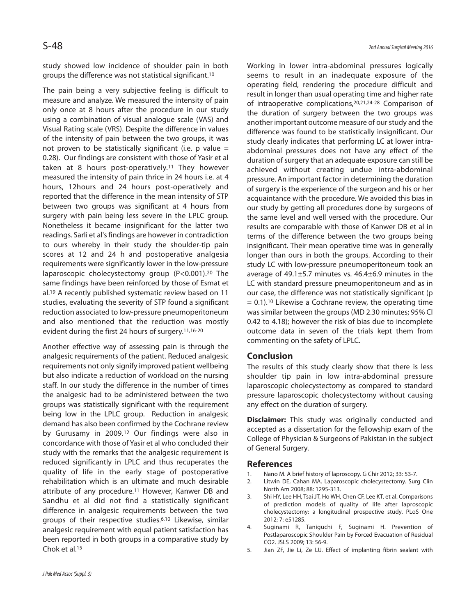study showed low incidence of shoulder pain in both groups the difference was not statistical significant. 10

The pain being a very subjective feeling is difficult to measure and analyze. We measured the intensity of pain only once at 8 hours after the procedure in our study using a combination of visual analogue scale (VAS) and Visual Rating scale (VRS). Despite the difference in values of the intensity of pain between the two groups, it was not proven to be statistically significant (i.e. p value  $=$ 0.28). Our findings are consistent with those of Yasir et al taken at 8 hours post-operatively. <sup>11</sup> They however measured the intensity of pain thrice in 24 hours i.e. at 4 hours, 12hours and 24 hours post-operatively and reported that the difference in the mean intensity of STP between two groups was significant at 4 hours from surgery with pain being less severe in the LPLC group. Nonetheless it became insignificant for the latter two readings. Sarli et al's findings are however in contradiction to ours whereby in their study the shoulder-tip pain scores at 12 and 24 h and postoperative analgesia requirements were significantly lower in the low-pressure laparoscopic cholecystectomy group (P<0.001). <sup>20</sup> The same findings have been reinforced by those of Esmat et al. <sup>19</sup> A recently published systematic review based on 11 studies, evaluating the severity of STP found a significant reduction associated to low-pressure pneumoperitoneum and also mentioned that the reduction was mostly evident during the first 24 hours of surgery. 11,16-20

Another effective way of assessing pain is through the analgesic requirements of the patient. Reduced analgesic requirements not only signify improved patient wellbeing but also indicate a reduction of workload on the nursing staff. In our study the difference in the number of times the analgesic had to be administered between the two groups was statistically significant with the requirement being low in the LPLC group. Reduction in analgesic demand has also been confirmed by the Cochrane review by Gurusamy in 2009. <sup>12</sup> Our findings were also in concordance with those of Yasir et al who concluded their study with the remarks that the analgesic requirement is reduced significantly in LPLC and thus recuperates the quality of life in the early stage of postoperative rehabilitation which is an ultimate and much desirable attribute of any procedure. <sup>11</sup> However, Kanwer DB and Sandhu et al did not find a statistically significant difference in analgesic requirements between the two groups of their respective studies. 6,10 Likewise, similar analgesic requirement with equal patient satisfaction has been reported in both groups in a comparative study by Chok et al. 15

Working in lower intra-abdominal pressures logically seems to result in an inadequate exposure of the operating field, rendering the procedure difficult and result in longer than usual operating time and higher rate of intraoperative complications, 20,21,24-28 Comparison of the duration of surgery between the two groups was another important outcome measure of our study and the difference was found to be statistically insignificant. Our study clearly indicates that performing LC at lower intraabdominal pressures does not have any effect of the duration of surgery that an adequate exposure can still be achieved without creating undue intra-abdominal pressure. An important factor in determining the duration of surgery is the experience of the surgeon and his or her acquaintance with the procedure. We avoided this bias in our study by getting all procedures done by surgeons of the same level and well versed with the procedure. Our results are comparable with those of Kanwer DB et al in terms of the difference between the two groups being insignificant. Their mean operative time was in generally longer than ours in both the groups. According to their study LC with low-pressure pneumoperitoneum took an average of 49.1±5.7 minutes vs. 46.4±6.9 minutes in the LC with standard pressure pneumoperitoneum and as in our case, the difference was not statistically significant (p = 0.1). <sup>10</sup> Likewise a Cochrane review, the operating time was similar between the groups (MD 2.30 minutes; 95% CI 0.42 to 4.18); however the risk of bias due to incomplete outcome data in seven of the trials kept them from commenting on the safety of LPLC.

#### **Conclusion**

The results of this study clearly show that there is less shoulder tip pain in low intra-abdominal pressure laparoscopic cholecystectomy as compared to standard pressure laparoscopic cholecystectomy without causing any effect on the duration of surgery.

**Disclaimer:** This study was originally conducted and accepted as a dissertation for the fellowship exam of the College of Physician & Surgeons of Pakistan in the subject of General Surgery.

#### **References**

- 1. Nano M. A brief history of laproscopy. G Chir 2012; 33: 53-7.
- 2. Litwin DE, Cahan MA. Laparoscopic cholecystectomy. Surg Clin North Am 2008; 88: 1295-313.
- 3. Shi HY, Lee HH, Tsai JT, Ho WH, Chen CF, Lee KT, et al. Comparisons of prediction models of quality of life after laproscopic cholecystectomy: a longitudinal prospective study. PLoS One 2012; 7: e51285.
- 4. Suginami R, Taniguchi F, Suginami H. Prevention of Postlaparoscopic Shoulder Pain by Forced Evacuation of Residual CO2. JSLS 2009; 13: 56-9.
- 5. Jian ZF, Jie Li, Ze LU. Effect of implanting fibrin sealant with